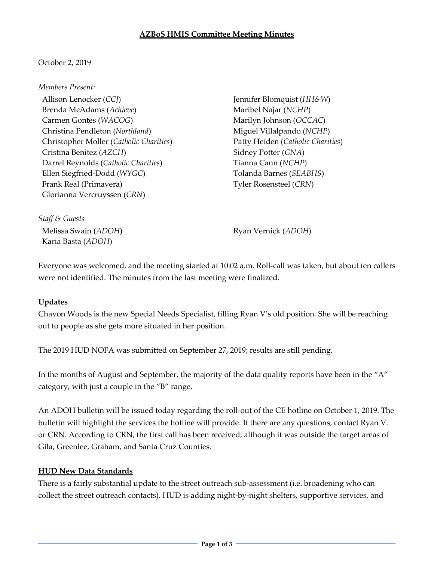#### **AZBoS HMIS Committee Meeting Minutes**

## October 2, 2019

#### *Members Present:*

Allison Lenocker (*CCJ*) Brenda McAdams (*Achieve*) Carmen Gontes (*WACOG*) Christina Pendleton (*Northland*) Christopher Moller (*Catholic Charities*) Cristina Benitez (*AZCH*) Darrel Reynolds (*Catholic Charities*) Ellen Siegfried-Dodd (*WYGC*) Frank Real (Primavera) Glorianna Vercruyssen (*CRN*)

Jennifer Blomquist (*HH&W*) Maribel Najar (*NCHP*) Marilyn Johnson (*OCCAC*) Miguel Villalpando (*NCHP*) Patty Heiden (*Catholic Charities*) Sidney Potter (*GNA*) Tianna Cann (*NCHP*) Tolanda Barnes (*SEABHS*) Tyler Rosensteel (*CRN*)

*Staff & Guests* Melissa Swain (*ADOH*) Karia Basta (*ADOH*)

Ryan Vernick (*ADOH*)

Everyone was welcomed, and the meeting started at 10:02 a.m. Roll-call was taken, but about ten callers were not identified. The minutes from the last meeting were finalized.

## **Updates**

Chavon Woods is the new Special Needs Specialist, filling Ryan V's old position. She will be reaching out to people as she gets more situated in her position.

The 2019 HUD NOFA was submitted on September 27, 2019; results are still pending.

In the months of August and September, the majority of the data quality reports have been in the "A" category, with just a couple in the "B" range.

An ADOH bulletin will be issued today regarding the roll-out of the CE hotline on October 1, 2019. The bulletin will highlight the services the hotline will provide. If there are any questions, contact Ryan V. or CRN. According to CRN, the first call has been received, although it was outside the target areas of Gila, Greenlee, Graham, and Santa Cruz Counties.

## **HUD New Data Standards**

There is a fairly substantial update to the street outreach sub-assessment (i.e. broadening who can collect the street outreach contacts). HUD is adding night-by-night shelters, supportive services, and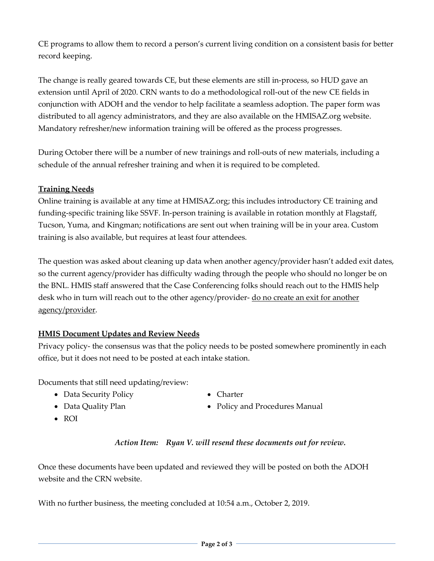CE programs to allow them to record a person's current living condition on a consistent basis for better record keeping.

The change is really geared towards CE, but these elements are still in-process, so HUD gave an extension until April of 2020. CRN wants to do a methodological roll-out of the new CE fields in conjunction with ADOH and the vendor to help facilitate a seamless adoption. The paper form was distributed to all agency administrators, and they are also available on the HMISAZ.org website. Mandatory refresher/new information training will be offered as the process progresses.

During October there will be a number of new trainings and roll-outs of new materials, including a schedule of the annual refresher training and when it is required to be completed.

# **Training Needs**

Online training is available at any time at HMISAZ.org; this includes introductory CE training and funding-specific training like SSVF. In-person training is available in rotation monthly at Flagstaff, Tucson, Yuma, and Kingman; notifications are sent out when training will be in your area. Custom training is also available, but requires at least four attendees.

The question was asked about cleaning up data when another agency/provider hasn't added exit dates, so the current agency/provider has difficulty wading through the people who should no longer be on the BNL. HMIS staff answered that the Case Conferencing folks should reach out to the HMIS help desk who in turn will reach out to the other agency/provider- <u>do no create an exit for another</u> agency/provider.

## **HMIS Document Updates and Review Needs**

Privacy policy- the consensus was that the policy needs to be posted somewhere prominently in each office, but it does not need to be posted at each intake station.

Documents that still need updating/review:

• Data Security Policy

• Charter

• Data Quality Plan

• Policy and Procedures Manual

• ROI

# *Action Item: Ryan V. will resend these documents out for review.*

Once these documents have been updated and reviewed they will be posted on both the ADOH website and the CRN website.

With no further business, the meeting concluded at 10:54 a.m., October 2, 2019.